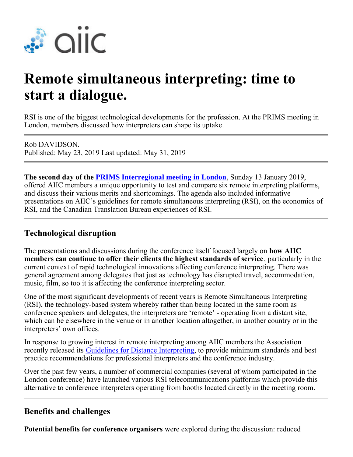

# **Remote simultaneous interpreting: time to start a dialogue.**

RSI is one of the biggest technological developments for the profession. At the PRIMS meeting in London, members discussed how interpreters can shape its uptake.

Rob DAVIDSON. Published: May 23, 2019 Last updated: May 31, 2019

**The second day of the [PRIMS Interregional meeting in London](https://members.aiic.net/page/8745)**, Sunday 13 January 2019, offered AIIC members a unique opportunity to test and compare six remote interpreting platforms, and discuss their various merits and shortcomings. The agenda also included informative presentations on AIIC's guidelines for remote simultaneous interpreting (RSI), on the economics of RSI, and the Canadian Translation Bureau experiences of RSI.

# **Technological disruption**

The presentations and discussions during the conference itself focused largely on **how AIIC members can continue to offer their clients the highest standards of service**, particularly in the current context of rapid technological innovations affecting conference interpreting. There was general agreement among delegates that just as technology has disrupted travel, accommodation, music, film, so too it is affecting the conference interpreting sector.

One of the most significant developments of recent years is Remote Simultaneous Interpreting (RSI), the technology-based system whereby rather than being located in the same room as conference speakers and delegates, the interpreters are 'remote' - operating from a distant site, which can be elsewhere in the venue or in another location altogether, in another country or in the interpreters' own offices.

In response to growing interest in remote interpreting among AIIC members the Association recently released its [Guidelines for Distance Interpreting](https://aiic.net/page/8734/aiic-guidelines-for-distance-interpreting-version-1-0/lang/1), to provide minimum standards and best practice recommendations for professional interpreters and the conference industry.

Over the past few years, a number of commercial companies (several of whom participated in the London conference) have launched various RSI telecommunications platforms which provide this alternative to conference interpreters operating from booths located directly in the meeting room.

### **Benefits and challenges**

**Potential benefits for conference organisers** were explored during the discussion: reduced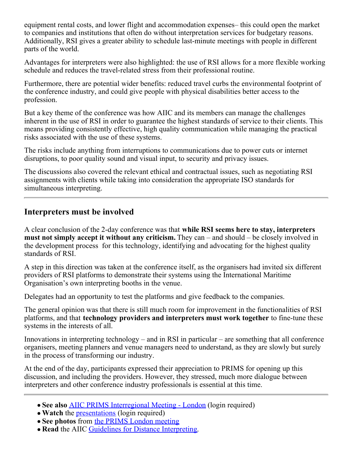equipment rental costs, and lower flight and accommodation expenses– this could open the market to companies and institutions that often do without interpretation services for budgetary reasons. Additionally, RSI gives a greater ability to schedule last-minute meetings with people in different parts of the world.

Advantages for interpreters were also highlighted: the use of RSI allows for a more flexible working schedule and reduces the travel-related stress from their professional routine.

Furthermore, there are potential wider benefits: reduced travel curbs the environmental footprint of the conference industry, and could give people with physical disabilities better access to the profession.

But a key theme of the conference was how AIIC and its members can manage the challenges inherent in the use of RSI in order to guarantee the highest standards of service to their clients. This means providing consistently effective, high quality communication while managing the practical risks associated with the use of these systems.

The risks include anything from interruptions to communications due to power cuts or internet disruptions, to poor quality sound and visual input, to security and privacy issues.

The discussions also covered the relevant ethical and contractual issues, such as negotiating RSI assignments with clients while taking into consideration the appropriate ISO standards for simultaneous interpreting.

## **Interpreters must be involved**

A clear conclusion of the 2-day conference was that **while RSI seems here to stay, interpreters must not simply accept it without any criticism.** They can – and should – be closely involved in the development process for this technology, identifying and advocating for the highest quality standards of RSI.

A step in this direction was taken at the conference itself, as the organisers had invited six different providers of RSI platforms to demonstrate their systems using the International Maritime Organisation's own interpreting booths in the venue.

Delegates had an opportunity to test the platforms and give feedback to the companies.

The general opinion was that there is still much room for improvement in the functionalities of RSI platforms, and that **technology providers and interpreters must work together** to fine-tune these systems in the interests of all.

Innovations in interpreting technology – and in RSI in particular – are something that all conference organisers, meeting planners and venue managers need to understand, as they are slowly but surely in the process of transforming our industry.

At the end of the day, participants expressed their appreciation to PRIMS for opening up this discussion, and including the providers. However, they stressed, much more dialogue between interpreters and other conference industry professionals is essential at this time.

- **See also** [AIIC PRIMS Interregional Meeting London](https://members.aiic.net/page/8745) (login required)
- Watch the <u>presentations</u> (login required)
- **See photos** from [the PRIMS London meeting](https://members.aiic.net/page/8728#PRIMS)
- **Read** the AIIC [Guidelines for Distance Interpreting](https://aiic.net/page/8734/aiic-guidelines-for-distance-interpreting-version-1-0/lang/1).